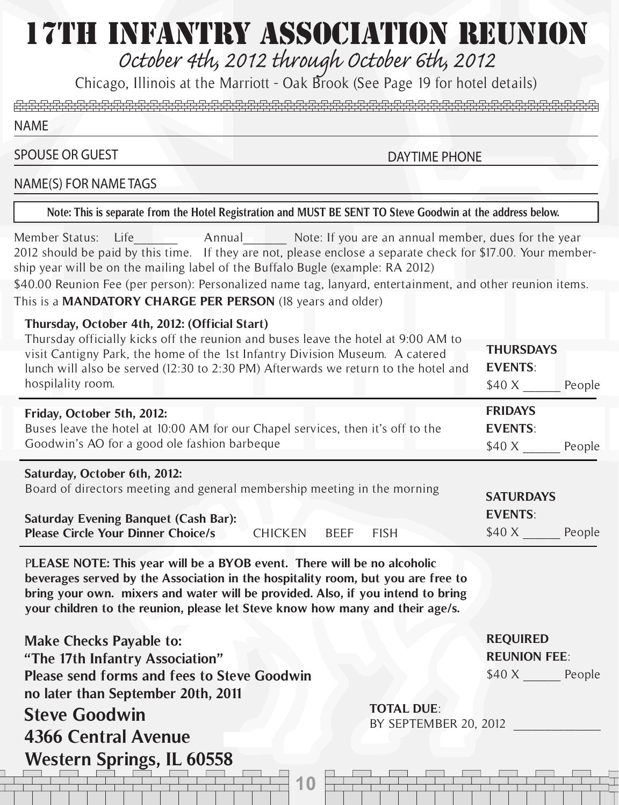# 17TH INFANTRY ASSOCIATION REUNION

*October 4th, 2012 through October 6th, 2012*

Chicago, Illinois at the Marriott - Oak Brook (See Page 19 for hotel details)

NAME

### SPOUSE OR GUEST

DAYTIME PHONE

#### NAME(S) FOR NAME TAGS

**Note: This is separate from the Hotel Registration and MUST BE SENT TO Steve Goodwin at the address below.**

Member Status: Life The Annual Note: If you are an annual member, dues for the year 2012 should be paid by this time. If they are not, please enclose a separate check for \$17.00. Your membership year will be on the mailing label of the Buffalo Bugle (example: RA 2012)

\$40.00 Reunion Fee (per person): Personalized name tag, lanyard, entertainment, and other reunion items. This is a **MANDATORY CHARGE PER PERSON** (18 years and older)

#### **Thursday, October 4th, 2012: (Official Start)**

| Thursday officially kicks off the reunion and buses leave the hotel at 9:00 AM to<br>visit Cantigny Park, the home of the 1st Infantry Division Museum. A catered<br>lunch will also be served (12:30 to 2:30 PM) Afterwards we return to the hotel and<br>hospilality room. | <b>THURSDAYS</b><br><b>EVENTS:</b><br>\$40 X<br>People |
|------------------------------------------------------------------------------------------------------------------------------------------------------------------------------------------------------------------------------------------------------------------------------|--------------------------------------------------------|
| Friday, October 5th, 2012:<br>Buses leave the hotel at 10:00 AM for our Chapel services, then it's off to the<br>Goodwin's AO for a good ole fashion barbeque                                                                                                                | <b>FRIDAYS</b><br><b>EVENTS:</b><br>\$40 X<br>People   |
| Saturday, October 6th, 2012:<br>Board of directors meeting and general membership meeting in the morning<br><b>Saturday Evening Banquet (Cash Bar):</b><br><b>Please Circle Your Dinner Choice/s</b><br><b>FISH</b><br><b>BEEF</b><br><b>CHICKEN</b>                         | <b>SATURDAYS</b><br><b>EVENTS:</b><br>\$40 X<br>People |

P**LEASE NOTE: This year will be a BYOB event. There will be no alcoholic beverages served by the Association in the hospitality room, but you are free to bring your own. mixers and water will be provided. Also, if you intend to bring your children to the reunion, please let Steve know how many and their age/s.**

**10 11 Make Checks Payable to: "The 17th Infantry Association" Please send forms and fees to Steve Goodwin no later than September 20th, 2011 Steve Goodwin 4366 Central Avenue Western Springs, IL 60558 TOTAL DUE**: BY SEPTEMBER 20, 2012

**REQUIRED REUNION FEE**: \$40 X People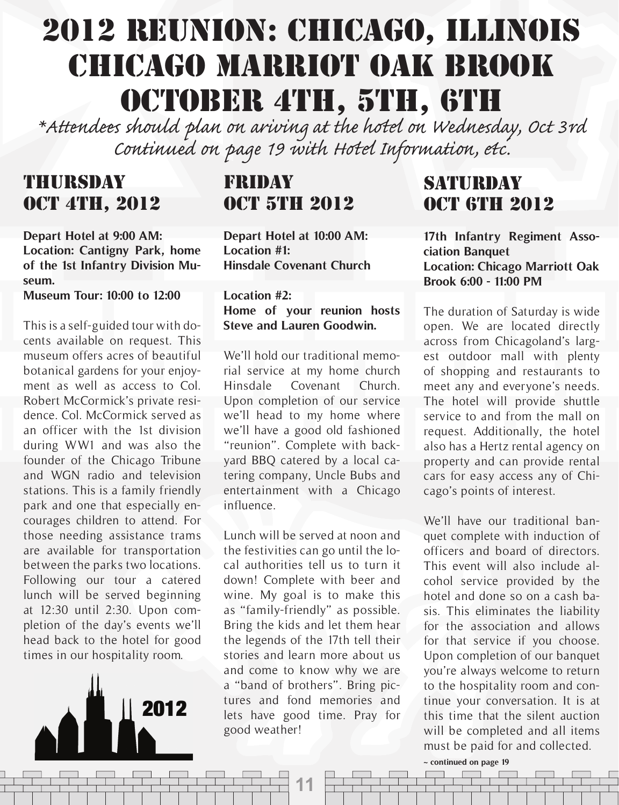# 2012 REUNION: CHICAGO, ILLINOIS CHICAGO MARRIOT OAK BROOK OCTOBER 4TH, 5TH, 6TH

\*Attendees should plan on ariving at the hotel on Wednesday, Oct 3rd<br>*Continued on page 19 with Hotel Information, etc.* 

### THURSDAY **OCT 4TH, 2012**

**Depart Hotel at 9:00 AM: Location: Cantigny Park, home of the 1st Infantry Division Museum.**

**Museum Tour: 10:00 to 12:00**

This is a self-guided tour with docents available on request. This museum offers acres of beautiful botanical gardens for your enjoyment as well as access to Col. Robert McCormick's private residence. Col. McCormick served as an officer with the 1st division during WW1 and was also the founder of the Chicago Tribune and WGN radio and television stations. This is a family friendly park and one that especially encourages children to attend. For those needing assistance trams are available for transportation between the parks two locations. Following our tour a catered lunch will be served beginning at 12:30 until 2:30. Upon completion of the day's events we'll head back to the hotel for good times in our hospitality room.



## FRIDAY **OCT 5TH 2012**

**Depart Hotel at 10:00 AM: Location #1: Hinsdale Covenant Church**

**Location #2: Home of your reunion hosts Steve and Lauren Goodwin.**

We'll hold our traditional memorial service at my home church Hinsdale Covenant Church. Upon completion of our service we'll head to my home where we'll have a good old fashioned "reunion". Complete with backyard BBQ catered by a local catering company, Uncle Bubs and entertainment with a Chicago influence.

Lunch will be served at noon and the festivities can go until the local authorities tell us to turn it down! Complete with beer and wine. My goal is to make this as "family-friendly" as possible. Bring the kids and let them hear the legends of the 17th tell their stories and learn more about us and come to know why we are a "band of brothers". Bring pictures and fond memories and lets have good time. Pray for good weather!

**11**

## SATURDAY **OCT 6TH 2012**

**17th Infantry Regiment Association Banquet Location: Chicago Marriott Oak Brook 6:00 - 11:00 PM**

The duration of Saturday is wide open. We are located directly across from Chicagoland's largest outdoor mall with plenty of shopping and restaurants to meet any and everyone's needs. The hotel will provide shuttle service to and from the mall on request. Additionally, the hotel also has a Hertz rental agency on property and can provide rental cars for easy access any of Chicago's points of interest.

We'll have our traditional banquet complete with induction of officers and board of directors. This event will also include alcohol service provided by the hotel and done so on a cash basis. This eliminates the liability for the association and allows for that service if you choose. Upon completion of our banquet you're always welcome to return to the hospitality room and continue your conversation. It is at this time that the silent auction will be completed and all items must be paid for and collected.

**~ continued on page 19**